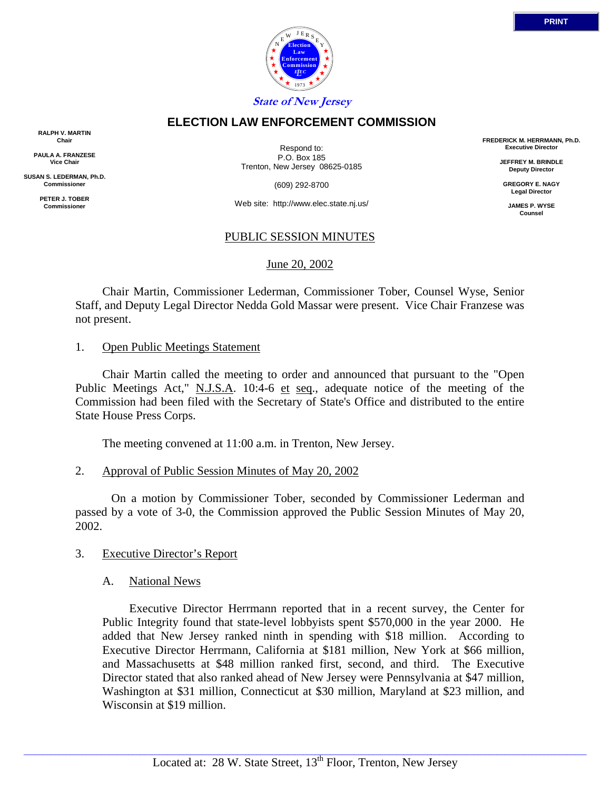

# **ELECTION LAW ENFORCEMENT COMMISSION**

**RALPH V. MARTIN Chair**

**PAULA A. FRANZESE Vice Chair**

**SUSAN S. LEDERMAN, Ph.D. Commissioner**

> **PETER J. TOBER Commissioner**

Respond to: P.O. Box 185 Trenton, New Jersey 08625-0185

(609) 292-8700

Web site: http://www.elec.state.nj.us/

## PUBLIC SESSION MINUTES

### June 20, 2002

 Chair Martin, Commissioner Lederman, Commissioner Tober, Counsel Wyse, Senior Staff, and Deputy Legal Director Nedda Gold Massar were present. Vice Chair Franzese was not present.

### 1. Open Public Meetings Statement

 Chair Martin called the meeting to order and announced that pursuant to the "Open Public Meetings Act," N.J.S.A. 10:4-6 et seq., adequate notice of the meeting of the Commission had been filed with the Secretary of State's Office and distributed to the entire State House Press Corps.

The meeting convened at 11:00 a.m. in Trenton, New Jersey.

## 2. Approval of Public Session Minutes of May 20, 2002

 On a motion by Commissioner Tober, seconded by Commissioner Lederman and passed by a vote of 3-0, the Commission approved the Public Session Minutes of May 20, 2002.

## 3. Executive Director's Report

## A. National News

 Executive Director Herrmann reported that in a recent survey, the Center for Public Integrity found that state-level lobbyists spent \$570,000 in the year 2000. He added that New Jersey ranked ninth in spending with \$18 million. According to Executive Director Herrmann, California at \$181 million, New York at \$66 million, and Massachusetts at \$48 million ranked first, second, and third. The Executive Director stated that also ranked ahead of New Jersey were Pennsylvania at \$47 million, Washington at \$31 million, Connecticut at \$30 million, Maryland at \$23 million, and Wisconsin at \$19 million.

**FREDERICK M. HERRMANN, Ph.D. Executive Director JEFFREY M. BRINDLE Deputy Director GREGORY E. NAGY Legal Director JAMES P. WYSE Counsel**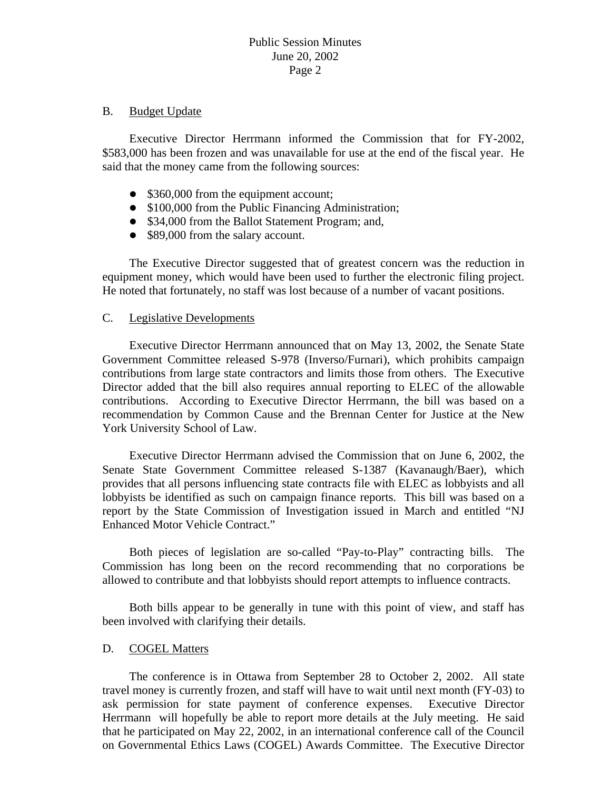#### B. Budget Update

 Executive Director Herrmann informed the Commission that for FY-2002, \$583,000 has been frozen and was unavailable for use at the end of the fiscal year. He said that the money came from the following sources:

- $\bullet$  \$360,000 from the equipment account;
- \$100,000 from the Public Financing Administration;
- \$34,000 from the Ballot Statement Program; and,
- \$89,000 from the salary account.

 The Executive Director suggested that of greatest concern was the reduction in equipment money, which would have been used to further the electronic filing project. He noted that fortunately, no staff was lost because of a number of vacant positions.

## C. Legislative Developments

 Executive Director Herrmann announced that on May 13, 2002, the Senate State Government Committee released S-978 (Inverso/Furnari), which prohibits campaign contributions from large state contractors and limits those from others. The Executive Director added that the bill also requires annual reporting to ELEC of the allowable contributions. According to Executive Director Herrmann, the bill was based on a recommendation by Common Cause and the Brennan Center for Justice at the New York University School of Law.

 Executive Director Herrmann advised the Commission that on June 6, 2002, the Senate State Government Committee released S-1387 (Kavanaugh/Baer), which provides that all persons influencing state contracts file with ELEC as lobbyists and all lobbyists be identified as such on campaign finance reports. This bill was based on a report by the State Commission of Investigation issued in March and entitled "NJ Enhanced Motor Vehicle Contract."

 Both pieces of legislation are so-called "Pay-to-Play" contracting bills. The Commission has long been on the record recommending that no corporations be allowed to contribute and that lobbyists should report attempts to influence contracts.

 Both bills appear to be generally in tune with this point of view, and staff has been involved with clarifying their details.

## D. COGEL Matters

 The conference is in Ottawa from September 28 to October 2, 2002. All state travel money is currently frozen, and staff will have to wait until next month (FY-03) to ask permission for state payment of conference expenses. Executive Director Herrmann will hopefully be able to report more details at the July meeting. He said that he participated on May 22, 2002, in an international conference call of the Council on Governmental Ethics Laws (COGEL) Awards Committee. The Executive Director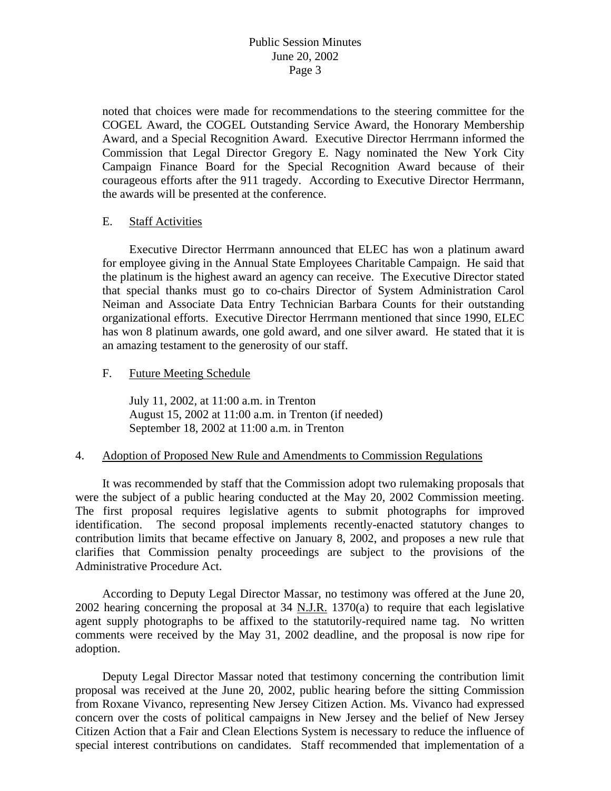noted that choices were made for recommendations to the steering committee for the COGEL Award, the COGEL Outstanding Service Award, the Honorary Membership Award, and a Special Recognition Award. Executive Director Herrmann informed the Commission that Legal Director Gregory E. Nagy nominated the New York City Campaign Finance Board for the Special Recognition Award because of their courageous efforts after the 911 tragedy. According to Executive Director Herrmann, the awards will be presented at the conference.

### E. Staff Activities

 Executive Director Herrmann announced that ELEC has won a platinum award for employee giving in the Annual State Employees Charitable Campaign. He said that the platinum is the highest award an agency can receive. The Executive Director stated that special thanks must go to co-chairs Director of System Administration Carol Neiman and Associate Data Entry Technician Barbara Counts for their outstanding organizational efforts. Executive Director Herrmann mentioned that since 1990, ELEC has won 8 platinum awards, one gold award, and one silver award. He stated that it is an amazing testament to the generosity of our staff.

### F. Future Meeting Schedule

 July 11, 2002, at 11:00 a.m. in Trenton August 15, 2002 at 11:00 a.m. in Trenton (if needed) September 18, 2002 at 11:00 a.m. in Trenton

## 4. Adoption of Proposed New Rule and Amendments to Commission Regulations

 It was recommended by staff that the Commission adopt two rulemaking proposals that were the subject of a public hearing conducted at the May 20, 2002 Commission meeting. The first proposal requires legislative agents to submit photographs for improved identification. The second proposal implements recently-enacted statutory changes to contribution limits that became effective on January 8, 2002, and proposes a new rule that clarifies that Commission penalty proceedings are subject to the provisions of the Administrative Procedure Act.

 According to Deputy Legal Director Massar, no testimony was offered at the June 20, 2002 hearing concerning the proposal at 34 N.J.R. 1370(a) to require that each legislative agent supply photographs to be affixed to the statutorily-required name tag. No written comments were received by the May 31, 2002 deadline, and the proposal is now ripe for adoption.

 Deputy Legal Director Massar noted that testimony concerning the contribution limit proposal was received at the June 20, 2002, public hearing before the sitting Commission from Roxane Vivanco, representing New Jersey Citizen Action. Ms. Vivanco had expressed concern over the costs of political campaigns in New Jersey and the belief of New Jersey Citizen Action that a Fair and Clean Elections System is necessary to reduce the influence of special interest contributions on candidates. Staff recommended that implementation of a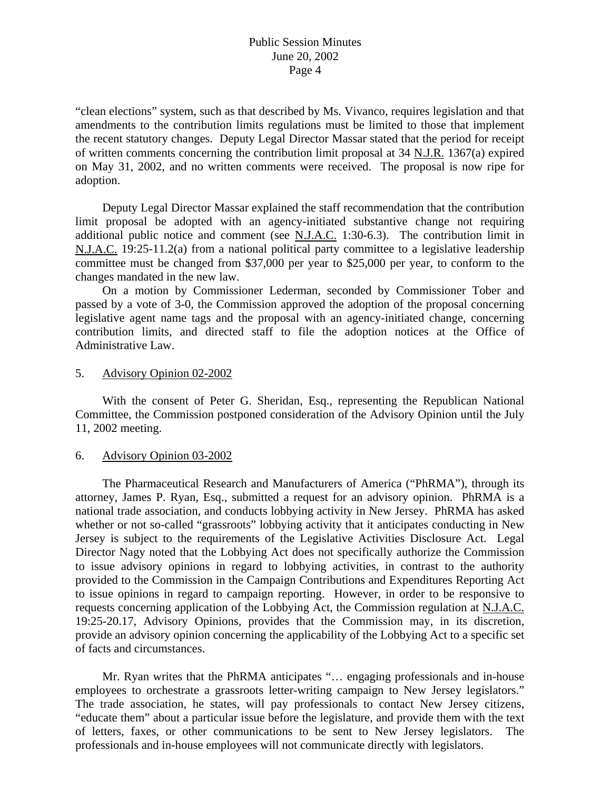## Public Session Minutes June 20, 2002 Page 4

"clean elections" system, such as that described by Ms. Vivanco, requires legislation and that amendments to the contribution limits regulations must be limited to those that implement the recent statutory changes. Deputy Legal Director Massar stated that the period for receipt of written comments concerning the contribution limit proposal at 34 N.J.R. 1367(a) expired on May 31, 2002, and no written comments were received. The proposal is now ripe for adoption.

 Deputy Legal Director Massar explained the staff recommendation that the contribution limit proposal be adopted with an agency-initiated substantive change not requiring additional public notice and comment (see  $N.L.A.C.$  1:30-6.3). The contribution limit in N.J.A.C. 19:25-11.2(a) from a national political party committee to a legislative leadership committee must be changed from \$37,000 per year to \$25,000 per year, to conform to the changes mandated in the new law.

 On a motion by Commissioner Lederman, seconded by Commissioner Tober and passed by a vote of 3-0, the Commission approved the adoption of the proposal concerning legislative agent name tags and the proposal with an agency-initiated change, concerning contribution limits, and directed staff to file the adoption notices at the Office of Administrative Law.

#### 5. Advisory Opinion 02-2002

 With the consent of Peter G. Sheridan, Esq., representing the Republican National Committee, the Commission postponed consideration of the Advisory Opinion until the July 11, 2002 meeting.

#### 6. Advisory Opinion 03-2002

 The Pharmaceutical Research and Manufacturers of America ("PhRMA"), through its attorney, James P. Ryan, Esq., submitted a request for an advisory opinion. PhRMA is a national trade association, and conducts lobbying activity in New Jersey. PhRMA has asked whether or not so-called "grassroots" lobbying activity that it anticipates conducting in New Jersey is subject to the requirements of the Legislative Activities Disclosure Act. Legal Director Nagy noted that the Lobbying Act does not specifically authorize the Commission to issue advisory opinions in regard to lobbying activities, in contrast to the authority provided to the Commission in the Campaign Contributions and Expenditures Reporting Act to issue opinions in regard to campaign reporting. However, in order to be responsive to requests concerning application of the Lobbying Act, the Commission regulation at N.J.A.C. 19:25-20.17, Advisory Opinions, provides that the Commission may, in its discretion, provide an advisory opinion concerning the applicability of the Lobbying Act to a specific set of facts and circumstances.

 Mr. Ryan writes that the PhRMA anticipates "… engaging professionals and in-house employees to orchestrate a grassroots letter-writing campaign to New Jersey legislators." The trade association, he states, will pay professionals to contact New Jersey citizens, "educate them" about a particular issue before the legislature, and provide them with the text of letters, faxes, or other communications to be sent to New Jersey legislators. The professionals and in-house employees will not communicate directly with legislators.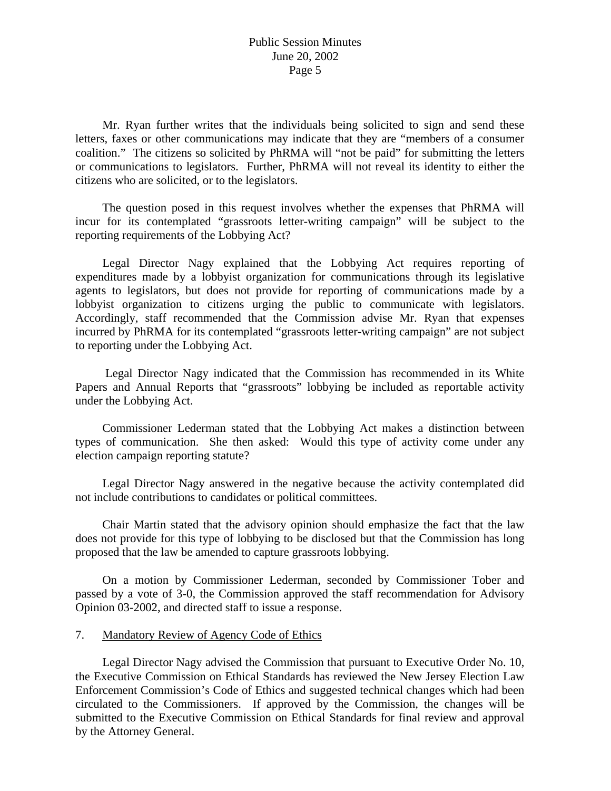Mr. Ryan further writes that the individuals being solicited to sign and send these letters, faxes or other communications may indicate that they are "members of a consumer coalition." The citizens so solicited by PhRMA will "not be paid" for submitting the letters or communications to legislators. Further, PhRMA will not reveal its identity to either the citizens who are solicited, or to the legislators.

 The question posed in this request involves whether the expenses that PhRMA will incur for its contemplated "grassroots letter-writing campaign" will be subject to the reporting requirements of the Lobbying Act?

 Legal Director Nagy explained that the Lobbying Act requires reporting of expenditures made by a lobbyist organization for communications through its legislative agents to legislators, but does not provide for reporting of communications made by a lobbyist organization to citizens urging the public to communicate with legislators. Accordingly, staff recommended that the Commission advise Mr. Ryan that expenses incurred by PhRMA for its contemplated "grassroots letter-writing campaign" are not subject to reporting under the Lobbying Act.

 Legal Director Nagy indicated that the Commission has recommended in its White Papers and Annual Reports that "grassroots" lobbying be included as reportable activity under the Lobbying Act.

 Commissioner Lederman stated that the Lobbying Act makes a distinction between types of communication. She then asked: Would this type of activity come under any election campaign reporting statute?

 Legal Director Nagy answered in the negative because the activity contemplated did not include contributions to candidates or political committees.

 Chair Martin stated that the advisory opinion should emphasize the fact that the law does not provide for this type of lobbying to be disclosed but that the Commission has long proposed that the law be amended to capture grassroots lobbying.

 On a motion by Commissioner Lederman, seconded by Commissioner Tober and passed by a vote of 3-0, the Commission approved the staff recommendation for Advisory Opinion 03-2002, and directed staff to issue a response.

#### 7. Mandatory Review of Agency Code of Ethics

 Legal Director Nagy advised the Commission that pursuant to Executive Order No. 10, the Executive Commission on Ethical Standards has reviewed the New Jersey Election Law Enforcement Commission's Code of Ethics and suggested technical changes which had been circulated to the Commissioners. If approved by the Commission, the changes will be submitted to the Executive Commission on Ethical Standards for final review and approval by the Attorney General.